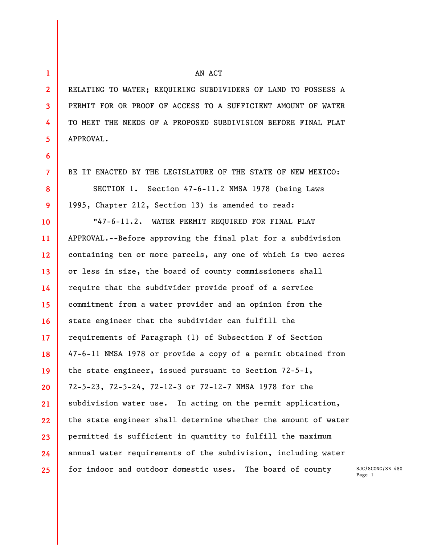**1 2** 

**3** 

**4** 

**5** 

**6** 

**7** 

**8** 

**9** 

## AN ACT

RELATING TO WATER; REQUIRING SUBDIVIDERS OF LAND TO POSSESS A PERMIT FOR OR PROOF OF ACCESS TO A SUFFICIENT AMOUNT OF WATER TO MEET THE NEEDS OF A PROPOSED SUBDIVISION BEFORE FINAL PLAT APPROVAL.

BE IT ENACTED BY THE LEGISLATURE OF THE STATE OF NEW MEXICO: SECTION 1. Section 47-6-11.2 NMSA 1978 (being Laws 1995, Chapter 212, Section 13) is amended to read:

**10 11 12 13 14 15 16 17 18 19 20 21 22 23 24 25**  "47-6-11.2. WATER PERMIT REQUIRED FOR FINAL PLAT APPROVAL.--Before approving the final plat for a subdivision containing ten or more parcels, any one of which is two acres or less in size, the board of county commissioners shall require that the subdivider provide proof of a service commitment from a water provider and an opinion from the state engineer that the subdivider can fulfill the requirements of Paragraph (1) of Subsection F of Section 47-6-11 NMSA 1978 or provide a copy of a permit obtained from the state engineer, issued pursuant to Section 72-5-1, 72-5-23, 72-5-24, 72-12-3 or 72-12-7 NMSA 1978 for the subdivision water use. In acting on the permit application, the state engineer shall determine whether the amount of water permitted is sufficient in quantity to fulfill the maximum annual water requirements of the subdivision, including water for indoor and outdoor domestic uses. The board of county

SJC/SCONC/SB 480 Page 1